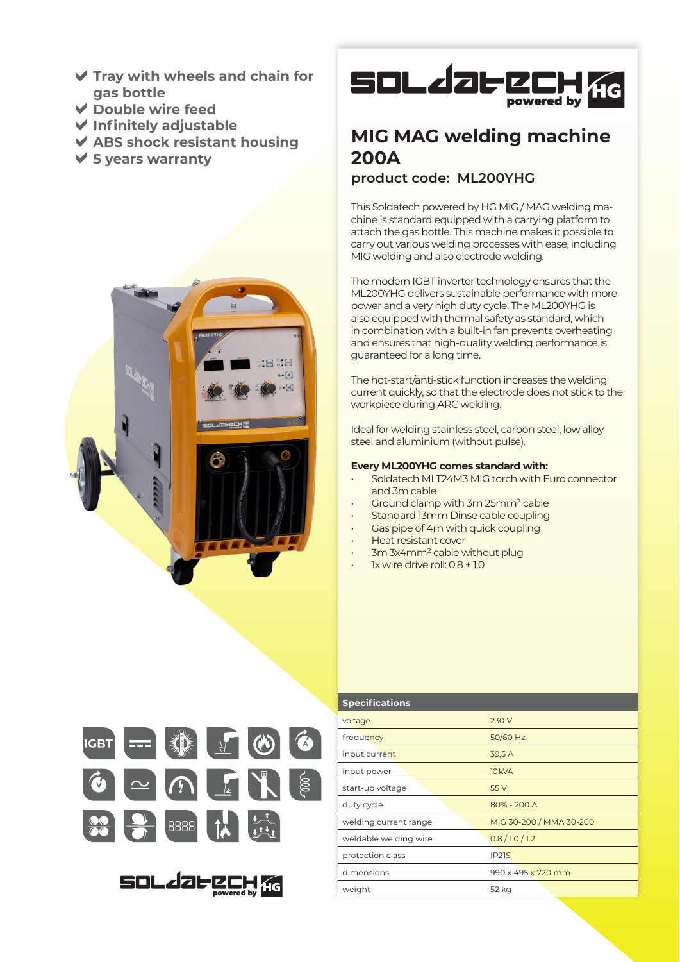- **Tray with wheels and chain for gas bottle**
- **Double wire feed**
- **Infinitely adjustable**
- **ABS shock resistant housing**
- **5 years warranty**





# **MIG MAG welding machine 200A**

## **product code: ML200YHG**

This Soldatech powered by HG MIG / MAG welding machine is standard equipped with a carrying platform to attach the gas bottle. This machine makes it possible to carry out various welding processes with ease, including MIG welding and also electrode welding.

The modern IGBT inverter technology ensures that the ML200YHG delivers sustainable performance with more power and a very high duty cycle. The ML200YHG is also equipped with thermal safety as standard, which in combination with a built-in fan prevents overheating and ensures that high-quality welding performance is guaranteed for a long time.

The hot-start/anti-stick function increases the welding current quickly, so that the electrode does not stick to the workpiece during ARC welding.

Ideal for welding stainless steel, carbon steel, low alloy steel and aluminium (without pulse).

### **Every ML200YHG comes standard with:**

- Soldatech MLT24M3 MIG torch with Euro connector and 3m cable
- Ground clamp with 3m 25mm² cable
- Standard 13mm Dinse cable coupling
- Gas pipe of 4m with quick coupling
- Heat resistant cover
- 3m 3x4mm² cable without plug
- 1x wire drive roll: 0.8 + 1.0



powered by

| <b>Specifications</b> |                         |
|-----------------------|-------------------------|
| voltage               | 230 V                   |
| frequency             | 50/60 Hz                |
| input current         | 39,5A                   |
| input power           | <b>10 kVA</b>           |
| start-up voltage      | 55 V                    |
| duty cycle            | 80% - 200 A             |
| welding current range | MIG 30-200 / MMA 30-200 |
| weldable welding wire | 0.8/1.0/1.2             |
| protection class      | IP <sub>2</sub> 1S      |
| dimensions            | 990 x 495 x 720 mm      |
| weight                | 52 kg                   |
|                       |                         |